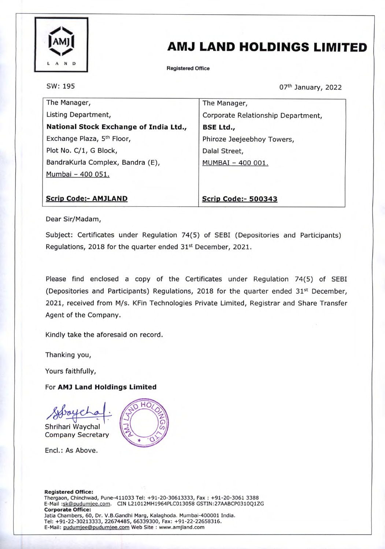

## AMJ LAND HOLDINGS LIMITED

Registered Office

SW: 195

07th January, 2022

| The Manager,                           | The Manager,                       |
|----------------------------------------|------------------------------------|
| Listing Department,                    | Corporate Relationship Department, |
| National Stock Exchange of India Ltd., | <b>BSE Ltd.,</b>                   |
| Exchange Plaza, 5 <sup>th</sup> Floor, | Phiroze Jeejeebhoy Towers,         |
| Plot No. C/1, G Block,                 | Dalal Street,                      |
| BandraKurla Complex, Bandra (E),       | MUMBAI - 400 001.                  |
| Mumbai - 400 051.                      |                                    |
|                                        |                                    |

## Scrip Code:- AMJLAND

Scrip Code:- 500343

Dear Sir/Madam,

Subject: Certificates under Regulation 74(5) of SEBI (Depositories and Participants) Regulations, 2018 for the quarter ended 31<sup>st</sup> December, 2021.

Please find enclosed a copy of the Certificates under Regulation 74(5) of SEBI (Depositories and Participants) Regulations, 2018 for the quarter ended  $31<sup>st</sup>$  December, 2021, received from M/s. KFin Technologies Private Limited, Registrar and Share Transfer Agent of the Company.

Kindly take the aforesaid on record.

Thanking you,

Yours faithfully,

For AMJ Land Holdings Limited

Shrihari Waychal

Company Secretary



Encl.: As Above.

Registered Office: Thergaon, Chinchwad, Pune-411033 Tel: +91-20-30613333, Fax : +91-20-3061 3388 E-Mail :sk@pudumjee.com. CIN L21012MH1964PLC013058 GSTIN:27AABCP0310Q1ZG Corporate Office: Jatia Chambers, 60, Dr. V.B.Gandhi Marg, Kalaghoda. Mumbai-400001 India. Tel: +91-22-30213333, 22674485, 66339300, Fax: +91-22-22658316. E-Mail: pudumjee@pudumjee.com Web Site : www.amjland.com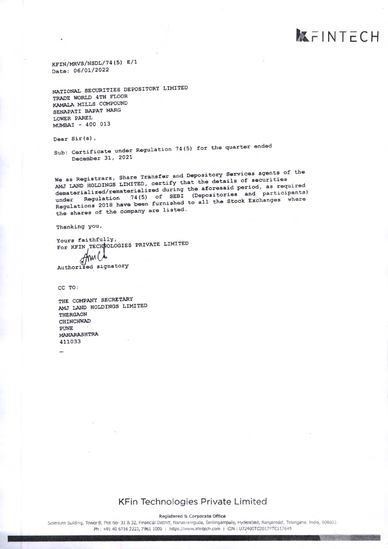**KFINTECH** 

KFIN/MRVS/NSDL/74(5) E/1 Date: 06/01/2022

NATIONAL SECURITIES DEPOSITORY LIMITED TRADE WORLD 4TH FLOOR KAMALA MILLS COMPOUND SENAPATI BAPAT MARG LOWER PAREL MUMBAI - 400 013

Dear Sir(s),

Sub: Certificate under Regulation 74(5) for the quarter ended December 31, 2021

We as Registrars, Share Transfer and Depository Services agents of the AMJ LAND HOLDINGS LIMITED, certify that the details of securities dematerialized/rematerialized during the aforesaid period, as required under Regulation 74(5) of SEBI (Depositories and participants) Regulations 2018 have been furnished to all the Stock Exchanges where the shares of the company are listed.

Thanking you,

Yours faithfully, For KFIN TECHNOLOGIES PRIVATE LIMITED Authorized signatory

CC TO:

THE COMPANY SECRETARY AMJ LAND HOLDINGS LIMITED THERGAON CHINCHWAD **PUNE** MAHARASHTRA 411033

## KFin Technologies Private Limited

Registered & Corporate Office

Selenium Building, Tower-B, Plot No- 31 & 32, Financial District, Nanakramguda, Serilingampaliy, Hyderabad, Rangareddi, Telangana, India, 500032, Ph: +91 40 6716 2222, 7961 1000 | https://www.kfintech.com | CIN : U72400TG2017PTC117649